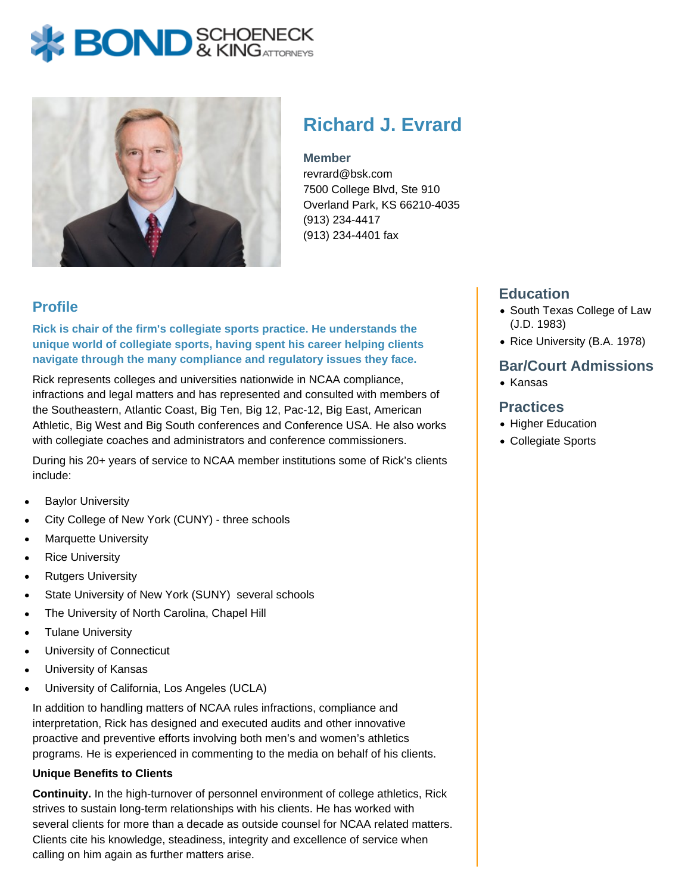# **BOND** & KINGATTORNECK



# **Richard J. Evrard**

#### **Member**

revrard@bsk.com 7500 College Blvd, Ste 910 Overland Park, KS 66210-4035 (913) 234-4417 (913) 234-4401 fax

# **Profile**

**Rick is chair of the firm's collegiate sports practice. He understands the unique world of collegiate sports, having spent his career helping clients navigate through the many compliance and regulatory issues they face.**

Rick represents colleges and universities nationwide in NCAA compliance, infractions and legal matters and has represented and consulted with members of the Southeastern, Atlantic Coast, Big Ten, Big 12, Pac-12, Big East, American Athletic, Big West and Big South conferences and Conference USA. He also works with collegiate coaches and administrators and conference commissioners.

During his 20+ years of service to NCAA member institutions some of Rick's clients include:

- Baylor University
- City College of New York (CUNY) three schools
- Marquette University
- Rice University
- Rutgers University
- State University of New York (SUNY) several schools
- The University of North Carolina, Chapel Hill
- Tulane University
- University of Connecticut
- University of Kansas
- University of California, Los Angeles (UCLA)

In addition to handling matters of NCAA rules infractions, compliance and interpretation, Rick has designed and executed audits and other innovative proactive and preventive efforts involving both men's and women's athletics programs. He is experienced in commenting to the media on behalf of his clients.

#### **Unique Benefits to Clients**

**Continuity.** In the high-turnover of personnel environment of college athletics, Rick strives to sustain long-term relationships with his clients. He has worked with several clients for more than a decade as outside counsel for NCAA related matters. Clients cite his knowledge, steadiness, integrity and excellence of service when calling on him again as further matters arise.

# **Education**

- South Texas College of Law (J.D. 1983)
- Rice University (B.A. 1978)

#### **Bar/Court Admissions**

 $\bullet$  Kansas

#### **Practices**

- Higher Education
- Collegiate Sports